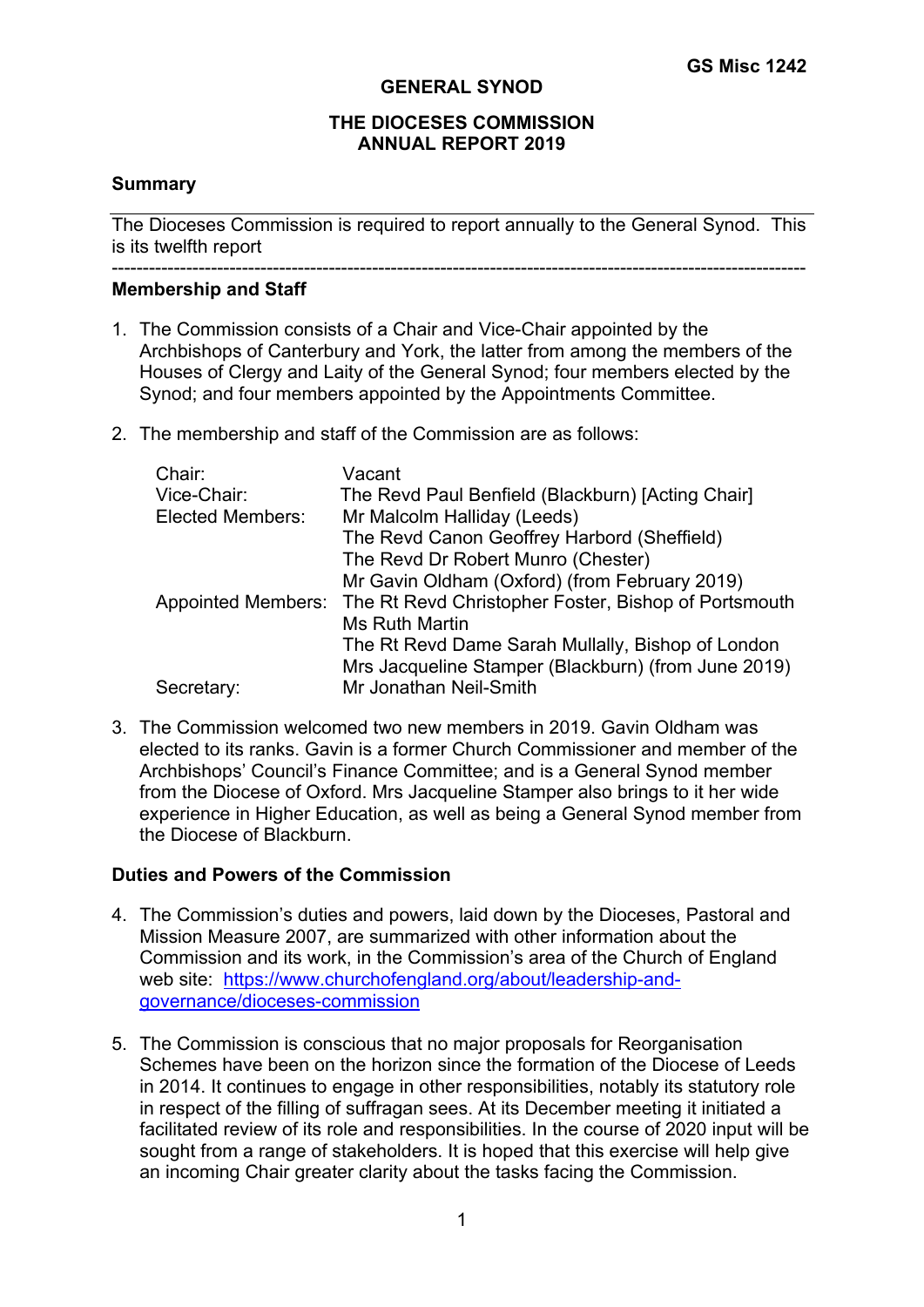#### **GENERAL SYNOD**

#### **THE DIOCESES COMMISSION ANNUAL REPORT 2019**

#### **Summary**

The Dioceses Commission is required to report annually to the General Synod. This is its twelfth report

#### ---------------------------------------------------------------------------------------------------------------- **Membership and Staff**

- 1. The Commission consists of a Chair and Vice-Chair appointed by the Archbishops of Canterbury and York, the latter from among the members of the Houses of Clergy and Laity of the General Synod; four members elected by the Synod; and four members appointed by the Appointments Committee.
- 2. The membership and staff of the Commission are as follows:

| Chair:                  | Vacant                                                                  |
|-------------------------|-------------------------------------------------------------------------|
| Vice-Chair:             | The Revd Paul Benfield (Blackburn) [Acting Chair]                       |
| <b>Elected Members:</b> | Mr Malcolm Halliday (Leeds)                                             |
|                         | The Revd Canon Geoffrey Harbord (Sheffield)                             |
|                         | The Revd Dr Robert Munro (Chester)                                      |
|                         | Mr Gavin Oldham (Oxford) (from February 2019)                           |
|                         | Appointed Members: The Rt Revd Christopher Foster, Bishop of Portsmouth |
|                         | <b>Ms Ruth Martin</b>                                                   |
|                         | The Rt Revd Dame Sarah Mullally, Bishop of London                       |
|                         | Mrs Jacqueline Stamper (Blackburn) (from June 2019)                     |
| Secretary:              | Mr Jonathan Neil-Smith                                                  |

3. The Commission welcomed two new members in 2019. Gavin Oldham was elected to its ranks. Gavin is a former Church Commissioner and member of the Archbishops' Council's Finance Committee; and is a General Synod member from the Diocese of Oxford. Mrs Jacqueline Stamper also brings to it her wide experience in Higher Education, as well as being a General Synod member from the Diocese of Blackburn.

## **Duties and Powers of the Commission**

- 4. The Commission's duties and powers, laid down by the Dioceses, Pastoral and Mission Measure 2007, are summarized with other information about the Commission and its work, in the Commission's area of the Church of England web site: https://www.churchofengland.org/about/leadership-andgovernance/dioceses-commission
- 5. The Commission is conscious that no major proposals for Reorganisation Schemes have been on the horizon since the formation of the Diocese of Leeds in 2014. It continues to engage in other responsibilities, notably its statutory role in respect of the filling of suffragan sees. At its December meeting it initiated a facilitated review of its role and responsibilities. In the course of 2020 input will be sought from a range of stakeholders. It is hoped that this exercise will help give an incoming Chair greater clarity about the tasks facing the Commission.